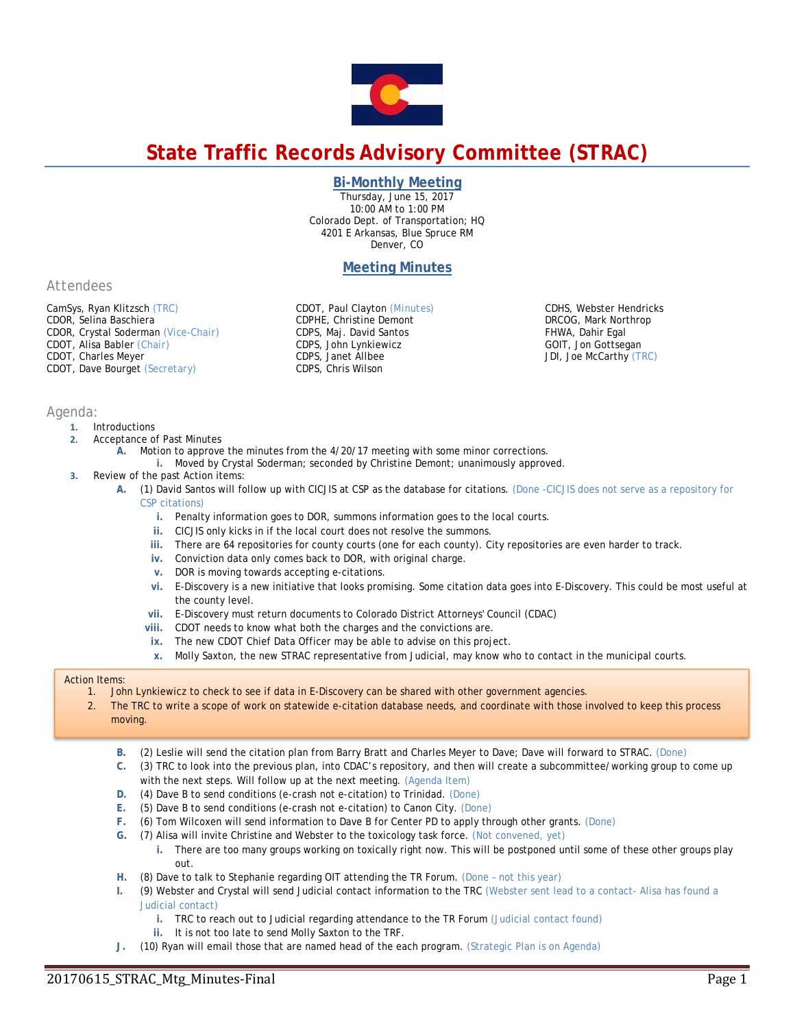

# **State Traffic Records Advisory Committee (STRAC)**

## **Bi-Monthly Meeting**

Thursday, June 15, 2017 10:00 AM to 1:00 PM Colorado Dept. of Transportation; HQ 4201 E Arkansas, Blue Spruce RM Denver, CO

# **Meeting Minutes**

*Attendees*

CamSys, Ryan Klitzsch *(TRC)*  CDOR, Selina Baschiera CDOR, Crystal Soderman *(Vice-Chair)* CDOT, Alisa Babler *(Chair)*  CDOT, Charles Meyer CDOT, Dave Bourget *(Secretary)*

CDOT, Paul Clayton *(Minutes)* CDPHE, Christine Demont CDPS, Maj. David Santos CDPS, John Lynkiewicz CDPS, Janet Allbee CDPS, Chris Wilson

CDHS, Webster Hendricks DRCOG, Mark Northrop FHWA, Dahir Egal GOIT, Jon Gottsegan JDI, Joe McCarthy *(TRC)* 

## *Agenda:*

- **1.** Introductions
- **2.** Acceptance of Past Minutes
	- **A.** Motion to approve the minutes from the 4/20/17 meeting with some minor corrections.
		- **i.** Moved by Crystal Soderman; seconded by Christine Demont; unanimously approved.
- **3.** Review of the past Action items:
	- **A.** (1) David Santos will follow up with CICJIS at CSP as the database for citations. (Done -CICJIS does not serve as a repository for CSP citations)
		- **i.** Penalty information goes to DOR, summons information goes to the local courts.
		- **ii.** CICJIS only kicks in if the local court does not resolve the summons.
		- **iii.** There are 64 repositories for county courts (one for each county). City repositories are even harder to track.
		- **iv.** Conviction data only comes back to DOR, with original charge.
		- **v.** DOR is moving towards accepting e-citations.
		- **vi.** E-Discovery is a new initiative that looks promising. Some citation data goes into E-Discovery. This could be most useful at the county level.
		- **vii.** E-Discovery must return documents to Colorado District Attorneys' Council (CDAC)
		- **viii.** CDOT needs to know what both the charges and the convictions are.
		- **ix.** The new CDOT Chief Data Officer may be able to advise on this project.
		- **x.** Molly Saxton, the new STRAC representative from Judicial, may know who to contact in the municipal courts.

## Action Items:

- 1. John Lynkiewicz to check to see if data in E-Discovery can be shared with other government agencies.
- 2. The TRC to write a scope of work on statewide e-citation database needs, and coordinate with those involved to keep this process moving.
	- **B.** (2) Leslie will send the citation plan from Barry Bratt and Charles Meyer to Dave; Dave will forward to STRAC. (Done)
	- **C.** (3) TRC to look into the previous plan, into CDAC's repository, and then will create a subcommittee/working group to come up with the next steps. Will follow up at the next meeting. (Agenda Item)
	- **D.** (4) Dave B to send conditions (e-crash not e-citation) to Trinidad. (Done)
	- **E.** (5) Dave B to send conditions (e-crash not e-citation) to Canon City. (Done)
	- **F.** (6) Tom Wilcoxen will send information to Dave B for Center PD to apply through other grants. (Done)
	- **G.** (7) Alisa will invite Christine and Webster to the toxicology task force. (Not convened, yet)
		- **i.** There are too many groups working on toxically right now. This will be postponed until some of these other groups play out.
	- **H.** (8) Dave to talk to Stephanie regarding OIT attending the TR Forum. (Done not this year)
	- **I.** (9) Webster and Crystal will send Judicial contact information to the TRC (Webster sent lead to a contact- Alisa has found a Judicial contact)
		- **i.** TRC to reach out to Judicial regarding attendance to the TR Forum (Judicial contact found)
		- **ii.** It is not too late to send Molly Saxton to the TRF.
	- **J.** (10) Ryan will email those that are named head of the each program. (Strategic Plan is on Agenda)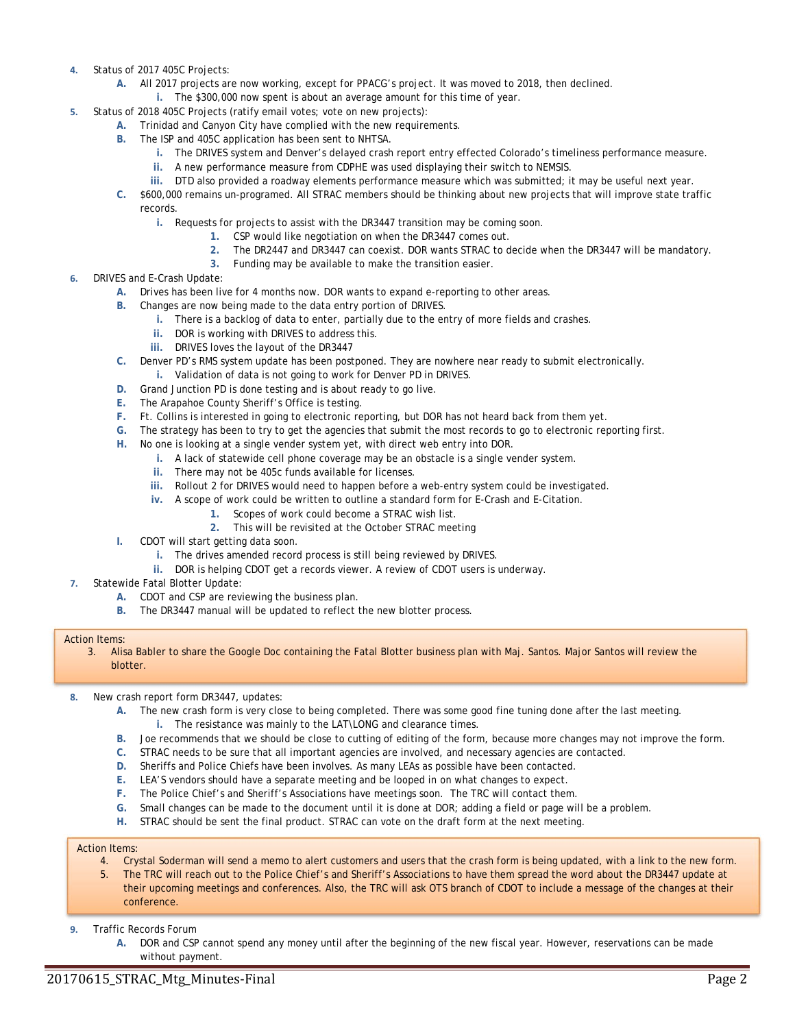- **4.** Status of 2017 405C Projects:
	- **A.** All 2017 projects are now working, except for PPACG's project. It was moved to 2018, then declined.
		- **i.** The \$300,000 now spent is about an average amount for this time of year.
- **5.** Status of 2018 405C Projects (ratify email votes; vote on new projects):
	- **A.** Trinidad and Canyon City have complied with the new requirements.
	- **B.** The ISP and 405C application has been sent to NHTSA.
		- **i.** The DRIVES system and Denver's delayed crash report entry effected Colorado's timeliness performance measure.
		- **ii.** A new performance measure from CDPHE was used displaying their switch to NEMSIS.
		- **iii.** DTD also provided a roadway elements performance measure which was submitted; it may be useful next year.
	- **C.** \$600,000 remains un-programed. All STRAC members should be thinking about new projects that will improve state traffic records.
		- **i.** Requests for projects to assist with the DR3447 transition may be coming soon.
			- **1.** CSP would like negotiation on when the DR3447 comes out.
			- **2.** The DR2447 and DR3447 can coexist. DOR wants STRAC to decide when the DR3447 will be mandatory.
				- **3.** Funding may be available to make the transition easier.
- **6.** DRIVES and E-Crash Update:
	- **A.** Drives has been live for 4 months now. DOR wants to expand e-reporting to other areas.
	- **B.** Changes are now being made to the data entry portion of DRIVES.
		- **i.** There is a backlog of data to enter, partially due to the entry of more fields and crashes.
		- **ii.** DOR is working with DRIVES to address this.
		- **iii.** DRIVES loves the layout of the DR3447
	- **C.** Denver PD's RMS system update has been postponed. They are nowhere near ready to submit electronically.
		- **i.** Validation of data is not going to work for Denver PD in DRIVES.
	- **D.** Grand Junction PD is done testing and is about ready to go live.
	- **E.** The Arapahoe County Sheriff's Office is testing.
	- **F.** Ft. Collins is interested in going to electronic reporting, but DOR has not heard back from them yet.
	- **G.** The strategy has been to try to get the agencies that submit the most records to go to electronic reporting first.
	- **H.** No one is looking at a single vender system yet, with direct web entry into DOR.
		- **i.** A lack of statewide cell phone coverage may be an obstacle is a single vender system.
		- **ii.** There may not be 405c funds available for licenses.
		- **iii.** Rollout 2 for DRIVES would need to happen before a web-entry system could be investigated.
		- **iv.** A scope of work could be written to outline a standard form for E-Crash and E-Citation.
			- **1.** Scopes of work could become a STRAC wish list.
			- **2.** This will be revisited at the October STRAC meeting
	- **I.** CDOT will start getting data soon.
		- **i.** The drives amended record process is still being reviewed by DRIVES.
		- **ii.** DOR is helping CDOT get a records viewer. A review of CDOT users is underway.
- **7.** Statewide Fatal Blotter Update:
	- **A.** CDOT and CSP are reviewing the business plan.
	- **B.** The DR3447 manual will be updated to reflect the new blotter process.

## Action Items:

3. Alisa Babler to share the Google Doc containing the Fatal Blotter business plan with Maj. Santos. Major Santos will review the blotter.

- **8.** New crash report form DR3447, updates:
	- **A.** The new crash form is very close to being completed. There was some good fine tuning done after the last meeting.
		- **i.** The resistance was mainly to the LAT\LONG and clearance times.
	- **B.** Joe recommends that we should be close to cutting of editing of the form, because more changes may not improve the form.
	- **C.** STRAC needs to be sure that all important agencies are involved, and necessary agencies are contacted.
	- **D.** Sheriffs and Police Chiefs have been involves. As many LEAs as possible have been contacted.
	- **E.** LEA'S vendors should have a separate meeting and be looped in on what changes to expect.
	- **F.** The Police Chief's and Sheriff's Associations have meetings soon. The TRC will contact them.
	- **G.** Small changes can be made to the document until it is done at DOR; adding a field or page will be a problem.
	- **H.** STRAC should be sent the final product. STRAC can vote on the draft form at the next meeting.

# Action Items:

- 4. Crystal Soderman will send a memo to alert customers and users that the crash form is being updated, with a link to the new form.
- 5. The TRC will reach out to the Police Chief's and Sheriff's Associations to have them spread the word about the DR3447 update at their upcoming meetings and conferences. Also, the TRC will ask OTS branch of CDOT to include a message of the changes at their conference.
- **9.** Traffic Records Forum
	- **A.** DOR and CSP cannot spend any money until after the beginning of the new fiscal year. However, reservations can be made without payment.